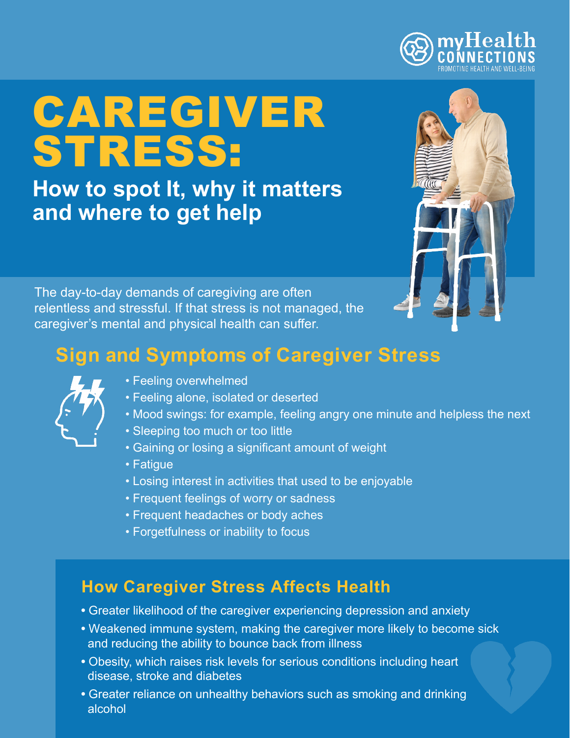# CAREGIVER STRESS:

**How to spot It, why it matters and where to get help**



The day-to-day demands of caregiving are often relentless and stressful. If that stress is not managed, the caregiver's mental and physical health can suffer.

# **Sign and Symptoms of Caregiver Stress**



- Feeling overwhelmed
- Feeling alone, isolated or deserted
- Mood swings: for example, feeling angry one minute and helpless the next
- Sleeping too much or too little
- Gaining or losing a significant amount of weight
- Fatigue
- Losing interest in activities that used to be enjoyable
- Frequent feelings of worry or sadness
- Frequent headaches or body aches
- Forgetfulness or inability to focus

## **How Caregiver Stress Affects Health**

- **•** Greater likelihood of the caregiver experiencing depression and anxiety
- **•** Weakened immune system, making the caregiver more likely to become sick and reducing the ability to bounce back from illness
- **•** Obesity, which raises risk levels for serious conditions including heart disease, stroke and diabetes
- **•** Greater reliance on unhealthy behaviors such as smoking and drinking alcohol